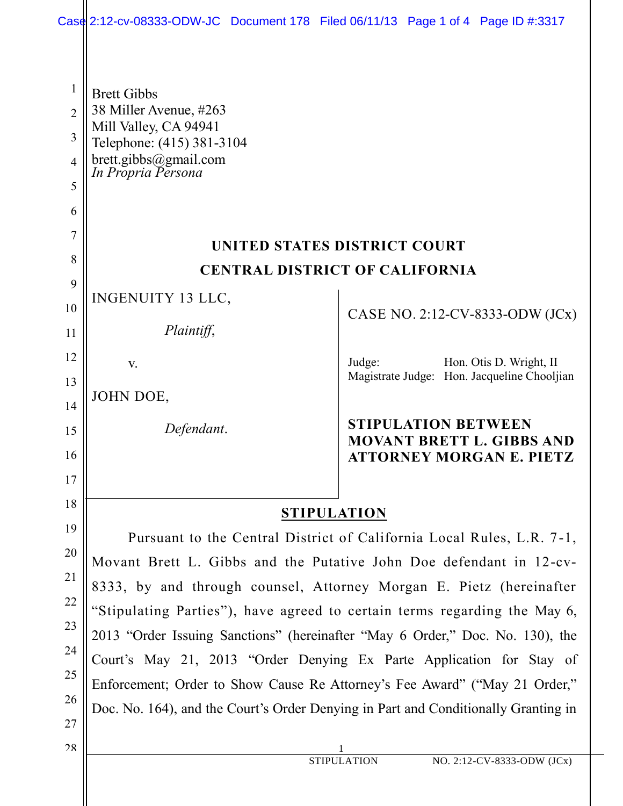|                                | Case 2:12-cv-08333-ODW-JC Document 178 Filed 06/11/13 Page 1 of 4 Page ID #:3317   |                                                                |  |
|--------------------------------|------------------------------------------------------------------------------------|----------------------------------------------------------------|--|
| $\mathbf{1}$<br>$\overline{2}$ | <b>Brett Gibbs</b><br>38 Miller Avenue, #263                                       |                                                                |  |
| 3                              | Mill Valley, CA 94941<br>Telephone: (415) 381-3104                                 |                                                                |  |
| 4                              | brett.gibbs@gmail.com<br>In Propria Persona                                        |                                                                |  |
| 5                              |                                                                                    |                                                                |  |
| 6                              |                                                                                    |                                                                |  |
| 7                              | UNITED STATES DISTRICT COURT                                                       |                                                                |  |
| 8                              | <b>CENTRAL DISTRICT OF CALIFORNIA</b>                                              |                                                                |  |
| 9                              |                                                                                    |                                                                |  |
| 10                             | INGENUITY 13 LLC,                                                                  | CASE NO. 2:12-CV-8333-ODW (JCx)                                |  |
| 11                             | Plaintiff,                                                                         |                                                                |  |
| 12                             | V.                                                                                 | Judge:<br>Hon. Otis D. Wright, II                              |  |
| 13                             | JOHN DOE,                                                                          | Magistrate Judge: Hon. Jacqueline Chooljian                    |  |
| 14                             |                                                                                    |                                                                |  |
| 15                             | Defendant.                                                                         | <b>STIPULATION BETWEEN</b><br><b>MOVANT BRETT L. GIBBS AND</b> |  |
| 16                             |                                                                                    | <b>ATTORNEY MORGAN E. PIETZ</b>                                |  |
| 17                             |                                                                                    |                                                                |  |
| 18                             | <b>STIPULATION</b>                                                                 |                                                                |  |
| 19                             | Pursuant to the Central District of California Local Rules, L.R. 7-1,              |                                                                |  |
| 20                             | Movant Brett L. Gibbs and the Putative John Doe defendant in 12-cv-                |                                                                |  |
| 21                             | 8333, by and through counsel, Attorney Morgan E. Pietz (hereinafter                |                                                                |  |
| 22                             | "Stipulating Parties"), have agreed to certain terms regarding the May 6,          |                                                                |  |
| 23                             | 2013 "Order Issuing Sanctions" (hereinafter "May 6 Order," Doc. No. 130), the      |                                                                |  |
| 24<br>25                       | Court's May 21, 2013 "Order Denying Ex Parte Application for Stay of               |                                                                |  |
| 26                             | Enforcement; Order to Show Cause Re Attorney's Fee Award" ("May 21 Order,"         |                                                                |  |
| 27                             | Doc. No. 164), and the Court's Order Denying in Part and Conditionally Granting in |                                                                |  |
| 28                             |                                                                                    |                                                                |  |
|                                |                                                                                    | NO. 2:12-CV-8333-ODW (JCx)<br><b>STIPULATION</b>               |  |
|                                |                                                                                    |                                                                |  |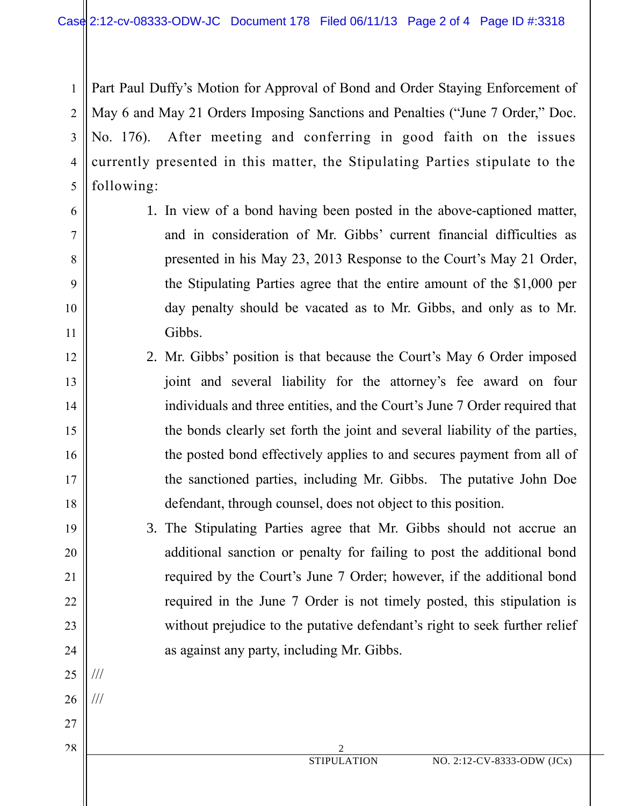1 2 3 4 5 Part Paul Duffy's Motion for Approval of Bond and Order Staying Enforcement of May 6 and May 21 Orders Imposing Sanctions and Penalties ("June 7 Order," Doc. No. 176). After meeting and conferring in good faith on the issues currently presented in this matter, the Stipulating Parties stipulate to the following:

6

7

8

9

10

11

12

13

14

15

16

17

18

19

20

21

22

23

24

25

///

///

26

27

28

- 1. In view of a bond having been posted in the above-captioned matter, and in consideration of Mr. Gibbs' current financial difficulties as presented in his May 23, 2013 Response to the Court's May 21 Order, the Stipulating Parties agree that the entire amount of the \$1,000 per day penalty should be vacated as to Mr. Gibbs, and only as to Mr. Gibbs.
- 2. Mr. Gibbs' position is that because the Court's May 6 Order imposed joint and several liability for the attorney's fee award on four individuals and three entities, and the Court's June 7 Order required that the bonds clearly set forth the joint and several liability of the parties, the posted bond effectively applies to and secures payment from all of the sanctioned parties, including Mr. Gibbs. The putative John Doe defendant, through counsel, does not object to this position.
	- 3. The Stipulating Parties agree that Mr. Gibbs should not accrue an additional sanction or penalty for failing to post the additional bond required by the Court's June 7 Order; however, if the additional bond required in the June 7 Order is not timely posted, this stipulation is without prejudice to the putative defendant's right to seek further relief as against any party, including Mr. Gibbs.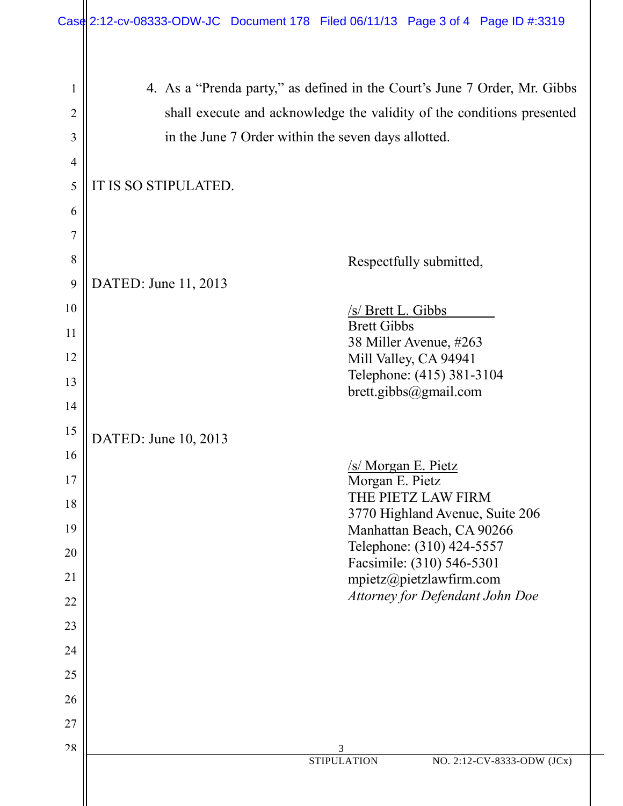|                       | Case 2:12-cv-08333-ODW-JC Document 178 Filed 06/11/13 Page 3 of 4 Page ID #:3319                                                                                                                                                   |
|-----------------------|------------------------------------------------------------------------------------------------------------------------------------------------------------------------------------------------------------------------------------|
| 1<br>2<br>3<br>4<br>5 | 4. As a "Prenda party," as defined in the Court's June 7 Order, Mr. Gibbs<br>shall execute and acknowledge the validity of the conditions presented<br>in the June 7 Order within the seven days allotted.<br>IT IS SO STIPULATED. |
| 6                     |                                                                                                                                                                                                                                    |
| $\overline{7}$        |                                                                                                                                                                                                                                    |
| 8                     | Respectfully submitted,                                                                                                                                                                                                            |
| 9                     | DATED: June 11, 2013                                                                                                                                                                                                               |
| 10                    | /s/ Brett L. Gibbs<br><b>Brett Gibbs</b>                                                                                                                                                                                           |
| 11                    | 38 Miller Avenue, #263                                                                                                                                                                                                             |
| 12<br>13              | Mill Valley, CA 94941<br>Telephone: (415) 381-3104                                                                                                                                                                                 |
| 14                    | brett.gibbs@gmail.com                                                                                                                                                                                                              |
| 15                    |                                                                                                                                                                                                                                    |
| 16                    | DATED: June 10, 2013                                                                                                                                                                                                               |
| 17                    | /s/ Morgan E. Pietz<br>Morgan E. Pietz                                                                                                                                                                                             |
| 18                    | THE PIETZ LAW FIRM<br>3770 Highland Avenue, Suite 206                                                                                                                                                                              |
| 19                    | Manhattan Beach, CA 90266<br>Telephone: (310) 424-5557                                                                                                                                                                             |
| 20                    | Facsimile: (310) 546-5301                                                                                                                                                                                                          |
| 21<br>22              | mpietz@pietzlawfirm.com<br>Attorney for Defendant John Doe                                                                                                                                                                         |
| 23                    |                                                                                                                                                                                                                                    |
| 24                    |                                                                                                                                                                                                                                    |
| 25                    |                                                                                                                                                                                                                                    |
| 26                    |                                                                                                                                                                                                                                    |
| 27                    |                                                                                                                                                                                                                                    |
| 28                    | 3<br><b>STIPULATION</b><br>NO. 2:12-CV-8333-ODW (JCx)                                                                                                                                                                              |
|                       |                                                                                                                                                                                                                                    |